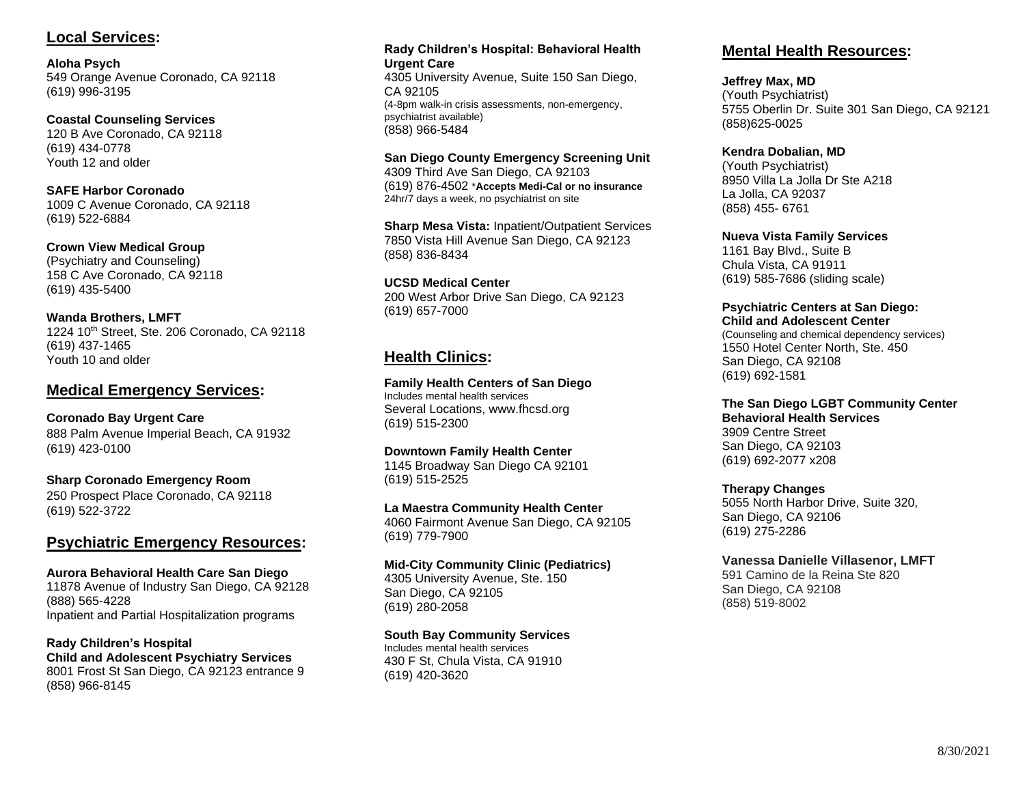# **Local Services:**

**Aloha Psych** 549 Orange Avenue Coronado, CA 92118 (619) 996-3195

**Coastal Counseling Services** 120 B Ave Coronado, CA 92118 (619) 434-0778 Youth 12 and older

**SAFE Harbor Coronado**  1009 C Avenue Coronado, CA 92118 (619) 522-6884

**Crown View Medical Group** (Psychiatry and Counseling) 158 C Ave Coronado, CA 92118 (619) 435-5400

**Wanda Brothers, LMFT** 1224 10<sup>th</sup> Street, Ste. 206 Coronado, CA 92118 (619) 437-1465 Youth 10 and older

# **Medical Emergency Services:**

**Coronado Bay Urgent Care**  888 Palm Avenue Imperial Beach, CA 91932 (619) 423-0100

**Sharp Coronado Emergency Room**  250 Prospect Place Coronado, CA 92118 (619) 522-3722

# **Psychiatric Emergency Resources:**

**Aurora Behavioral Health Care San Diego**  11878 Avenue of Industry San Diego, CA 92128 (888) 565-4228 Inpatient and Partial Hospitalization programs

**Rady Children's Hospital Child and Adolescent Psychiatry Services** 8001 Frost St San Diego, CA 92123 entrance 9 (858) 966-8145

#### **Rady Children's Hospital: Behavioral Health Urgent Care**

4305 University Avenue, Suite 150 San Diego, CA 92105 (4-8pm walk-in crisis assessments, non-emergency, psychiatrist available) (858) 966-5484

#### **San Diego County Emergency Screening Unit**

4309 Third Ave San Diego, CA 92103 (619) 876-4502 \***Accepts Medi-Cal or no insurance** 24hr/7 days a week, no psychiatrist on site

**Sharp Mesa Vista:** Inpatient/Outpatient Services 7850 Vista Hill Avenue San Diego, CA 92123 (858) 836-8434

**UCSD Medical Center** 200 West Arbor Drive San Diego, CA 92123 (619) 657-7000

# **Health Clinics:**

## **Family Health Centers of San Diego**

Includes mental health services Several Locations, [www.fhcsd.org](http://www.fhcsd.org/)  (619) 515-2300

#### **Downtown Family Health Center**

1145 Broadway San Diego CA 92101 (619) 515-2525

#### **La Maestra Community Health Center**

4060 Fairmont Avenue San Diego, CA 92105 (619) 779-7900

**Mid-City Community Clinic (Pediatrics)**

4305 University Avenue, Ste. 150 San Diego, CA 92105 (619) 280-2058

## **South Bay Community Services**

Includes mental health services 430 F St, Chula Vista, CA 91910 (619) 420-3620

# **Mental Health Resources:**

### **Jeffrey Max, MD**

(Youth Psychiatrist) 5755 Oberlin Dr. Suite 301 San Diego, CA 92121 (858)625-0025

#### **Kendra Dobalian, MD**

(Youth Psychiatrist) 8950 Villa La Jolla Dr Ste A218 La Jolla, CA 92037 (858) 455- 6761

#### **Nueva Vista Family Services**

1161 Bay Blvd., Suite B Chula Vista, CA 91911 (619) 585-7686 (sliding scale)

#### **Psychiatric Centers at San Diego: Child and Adolescent Center**

(Counseling and chemical dependency services) 1550 Hotel Center North, Ste. 450 San Diego, CA 92108 (619) 692-1581

## **The San Diego LGBT Community Center**

**Behavioral Health Services**  3909 Centre Street San Diego, CA 92103 (619) 692-2077 x208

## **Therapy Changes**

5055 North Harbor Drive, Suite 320, San Diego, CA 92106 (619) 275-2286

## **Vanessa Danielle Villasenor, LMFT**

591 Camino de la Reina Ste 820 San Diego, CA 92108 (858) 519-8002